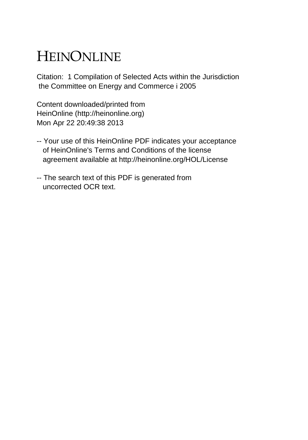## HEINONLINE

Citation: 1 Compilation of Selected Acts within the Jurisdiction the Committee on Energy and Commerce i 2005

Content downloaded/printed from HeinOnline (http://heinonline.org) Mon Apr 22 20:49:38 2013

- -- Your use of this HeinOnline PDF indicates your acceptance of HeinOnline's Terms and Conditions of the license agreement available at http://heinonline.org/HOL/License
- -- The search text of this PDF is generated from uncorrected OCR text.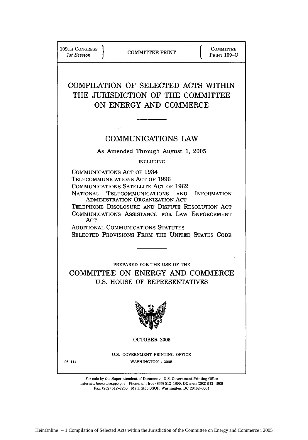109TH CONGRESS <br> *1st Session* COMMITTEE PRINT  $\begin{array}{c} \begin{array}{c} \begin{array}{c} \text{COMMTTE} \\ \text{PRINT} \end{array} \end{array}$ 

*1st Session* **PRINT ICOMMITEE** PRINT **109-C**

## COMPILATION OF **SELECTED ACTS** WITHIN THE JURISDICTION OF THE COMMITTEE **ON** ENERGY **AND** COMMERCE

## **COMMUNICATIONS** LAW

As Amended Through August **1, 2005**

**INCLUDING**

COMMUNICATIONS ACT OF 1934 TELECOMMUNICATIONS **ACT** OF **1996 COMMUNICATIONS** SATELLITE **ACT** OF **1962** NATIONAL **TELECOMMUNICATIONS AND** INFORMATION ADMINISTRATION **ORGANIZATION ACT TELEPHONE** DISCLOSURE **AND DISPUTE** RESOLUTION **ACT COMMUNICATIONS** ASSISTANCE FOR LAW **ENFORCEMENT ACT** ADDITIONAL COMMUNICATIONS **STATUTES**

PREPARED FOR THE **USE** OF THE COMMITTEE **ON** ENERGY **AND** COMMERCE **U.S. HOUSE** OF REPRESENTATIVES

**SELECTED** PROVISIONS FROM THE UNITED **STATES CODE**



OCTOBER **2005**

**U.S. GOVERNMENT PRINTING** OFFICE

98-114 WASHINGTON **:** 2005

For sale by the Superintendent of Documents, U.S. Government Printing Office Internet: bookstore.gpo.gov Phone: toll free (866) 512-1800; **DC** area (202) 512-1800 Fax: (202) 512-2250 Mail: Stop SSOP, Washington, DC 20402-0001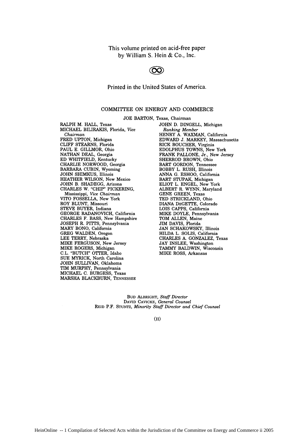This volume printed on acid-free paper **by** William **S. Hein &** Co., Inc.



Printed in the United States of America.

## COMMITTEE ON ENERGY AND COMMERCE

JOE BARTON, Texas, Chairman

RALPH M. HALL, Texas **JOHN D. DINGELL, Michigan** JOHN D. DINGELL, Michigan MCHAEL BILIRAKIS, Florida, Vice Ranking Member MICHAEL BILIRAKIS, Florida, Vice Chairman *Chairman* **FRED UPTON, Michigan EDWARD** J. MARKEY, Massachused **FRED** UPTON, Michigan FRED UPTON, Michigan EDWARD J. MARKEY, Massachusetts CLIFF STEARNS, Florida RICK BOUCHER, Virginia CLIFF STEARNS, Florida RICK BOUCHER, Virginia PAUL E. GILLMOR, Ohio EDOLPHUS TOWNS, New York ED WHITFIELD, Kentucky<br>CHARLIE NORWOOD, Georgia SHERROD BART GORDON, Tennessee CHARLIE NORWOOD, Georgia BART GORDON, Tennesse BARBARA CUBIN, Wyoming BOBBY L. RUSH, Illinois BARBARA CUBIN, Wyoming JOHN SHIMKUS, Illinois<br>
HEATHER WILSON, New Mexico<br> **BART STUPAK, Michigan** HEATHER WILSON, New Mexico BART STUPAK, Michigan JOHN B. SHADEGG, Arizona BLIOT L. ENGEL, New York JOHN B. SHADEGG, Arizona<br>
CHARLES W. "CHIP" PICKERING, ALBERT R. WYNN, Maryland CHARLES W. "CHIP" PICKERING, ALBERT R. WYNN, Mississippi, *Vice Chairman* GENE GREEN, Texas VITO FOSSELLA, New York TED STRICKLAND, Ohio ROY BLUNT, Missouri Contract Telecomputer Colora ROY BLUNT, Missouri **DIANA DEGETTE, Colorado STEVE BUYER.** Indiana **DEGETTE**, Colorado CONSIGLE GEORGE RADANOVICH, California MIKE DOYLE, Penni<br>CHARLES F. BASS, New Hampshire TOM ALLEN, Maine CHARLES F. BASS, New Hampshire TOM ALLEN, Maine<br>JOSEPH R. PITTS, Pennsylvania Manus JIM DAVIS, Florida JOSEPH R. PITTS, Pennsylvania<br>MARY BONO, California MARY BONO, California (G. 1988)<br>GREG WALDEN, Oregon (G. 1998) HILDA L. SOLIS, California GREG WALDEN, Oregon HILDA L. SOLIS, California MIKE FERGUSON, New Jersey<br>MIKE ROGERS, Michigan C.L. "BUTCH" OTTER, Idaho MIKE ROSS, Arkansas SUE MYRICK, North Carolina JOHN SULLIVAN, Oklahoma TIM MURPHY, Pennsylvania MICHAEL C. BURGESS, Texas MARSHA BLACKBURN, TENNESSEE

FRANK PALLONE, Jr., New Jersey LOIS CAPPS, California<br>MIKE DOYLE, Pennsylvania CHARLES A. GONZALEZ, Texas<br>JAY INSLEE, Washington TAMMY BALDWIN, Wisconsin

BUD ALBRIGHT, *Staff Director* DAVID CAVicKE, *General Counsel* REID P.F. STUNTZ, *Minority Staff Director and Chief Counsel*

**(II)**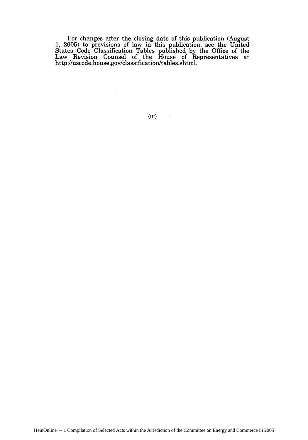For changes after the closing date of this publication (August 1, 2005) to provisions of law in this publication, see the United States Code Classification Tables published by the Office of the Law Revision Counsel of the House of Representatives at http://uscode.house.gov/classification/tables.shtml.

**(III)**